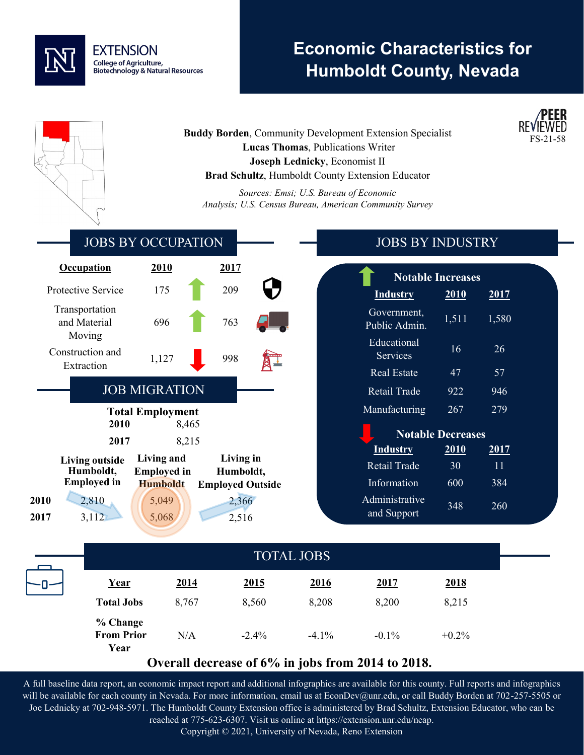

# **Economic Characteristics for Humboldt County, Nevada**

**Buddy Borden, Community Development Extension Specialist Lucas Thomas**, Publications Writer **Joseph Lednicky**, Economist II **Brad Schultz**, Humboldt County Extension Educator

*Sources: Emsi; U.S. Bureau of Economic Analysis; U.S. Census Bureau, American Community Survey*



### **Overall decrease of 6% in jobs from 2014 to 2018.**

A full baseline data report, an economic impact report and additional infographics are available for this county. Full reports and infographics will be available for each county in Nevada. For more information, email us at EconDev@unr.edu, or call Buddy Borden at 702-257-5505 or Joe Lednicky at 702-948-5971. The Humboldt County Extension office is administered by Brad Schultz, Extension Educator, who can be reached at 775-623-6307. Visit us online at https://extension.unr.edu/neap.

Copyright © 2021, University of Nevada, Reno Extension